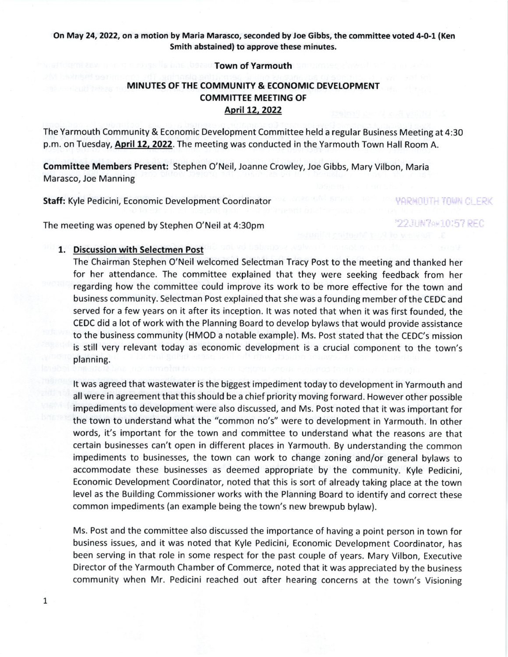## On May 24, 2022, on a motion by Maria Marasco, seconded by Joe Gibbs, the committee voted 4-0-1 (Ken Smith abstained) to approve these minutes.

### Town of Yarmouth

# MINUTES OF THE COMMUNITY & ECONOMIC DEVELOPMENT COMMITTEE MEETING OF Aoril 12,2022

The Yarmouth Community & Economic Development Committee held a regular Business Meeting at 4:30 p.m. on Tuesday, April 12, 2022. The meeting was conducted in the Yarmouth Town Hall Room A.

Committee Members Present: Stephen O'Neil, Joanne Crowley, Joe Gibbs, Mary Vilbon, Maria Marasco, Joe Manning

Staff: Kyle Pedicini, Economic Development Coordinator

The meeting was opened by Stephen O'Neil at 4:30pm

### 1. Discussion with Selectmen Post

The Chairman Stephen O'Neil welcomed Selectman Tracy Post to the meeting and thanked her for her attendance. The committee explained that they were seeking feedback from her regarding how the committee could improve its work to be more effective for the town and business community. Selectman Post explained that she was a founding member of the CEDC and served for a few years on it after its inception. lt was noted that when it was first founded, the CEDC did a lot of work with the Planning Board to develop bylaws that would provide assistance to the business community (HMOD a notable example). Ms. Post stated that the CEDC's mission is still very relevant today as economic development is a crucial component to the town's planning.

YARMOUTH TOWN CLERK

22JHN7AM10157 REG

It was agreed that wastewater is the biggest impediment today to development in Yarmouth and all were in agreement that this should be a chief priority moving forward. However other possible impediments to development were also discussed, and Ms. Post noted that it was important for the town to understand what the "common no's" were to development in Yarmouth. ln other words, it's important for the town and committee to understand what the reasons are that certain businesses can't open in different places in Yarmouth. 8y understanding the common impediments to businesses, the town can work to change zoning and/or general bylaws to accommodate these businesses as deemed appropriate by the community. Kyle pedicini, Economic Development Coordinator, noted that this is sort of already taking place at the town level as the Building Commissioner works with the Planning Board to identify and correct these common impediments (an example being the town's new brewpub bylaw).

Ms. Post and the committee also discussed the importance of having a point person in town for business issues, and it was noted that Kyle Pedicini, Economic Development Coordinator, has been serving in that role in some respect for the past couple of years. Mary Vilbon, Executive Director of the Yarmouth Chamber of Commerce, noted that it was appreciated by the business community when Mr. Pedicini reached out after hearing concerns at the town's Visioning